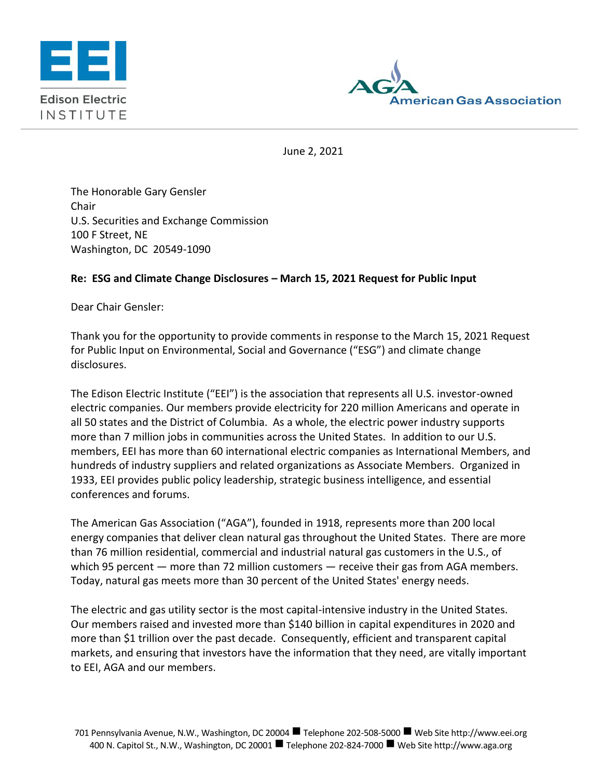



June 2, 2021

The Honorable Gary Gensler Chair U.S. Securities and Exchange Commission 100 F Street, NE Washington, DC 20549-1090

## **Re: ESG and Climate Change Disclosures – March 15, 2021 Request for Public Input**

Dear Chair Gensler:

Thank you for the opportunity to provide comments in response to the March 15, 2021 Request for Public Input on Environmental, Social and Governance ("ESG") and climate change disclosures.

The Edison Electric Institute ("EEI") is the association that represents all U.S. investor-owned electric companies. Our members provide electricity for 220 million Americans and operate in all 50 states and the District of Columbia. As a whole, the electric power industry supports more than 7 million jobs in communities across the United States. In addition to our U.S. members, EEI has more than 60 international electric companies as International Members, and hundreds of industry suppliers and related organizations as Associate Members. Organized in 1933, EEI provides public policy leadership, strategic business intelligence, and essential conferences and forums.

The American Gas Association ("AGA"), founded in 1918, represents more than 200 local energy companies that deliver clean natural gas throughout the United States. There are more than 76 million residential, commercial and industrial natural gas customers in the U.S., of which 95 percent — more than 72 million customers — receive their gas from AGA members. Today, natural gas meets more than 30 percent of the United States' energy needs.

The electric and gas utility sector is the most capital-intensive industry in the United States. Our members raised and invested more than \$140 billion in capital expenditures in 2020 and more than \$1 trillion over the past decade. Consequently, efficient and transparent capital markets, and ensuring that investors have the information that they need, are vitally important to EEI, AGA and our members.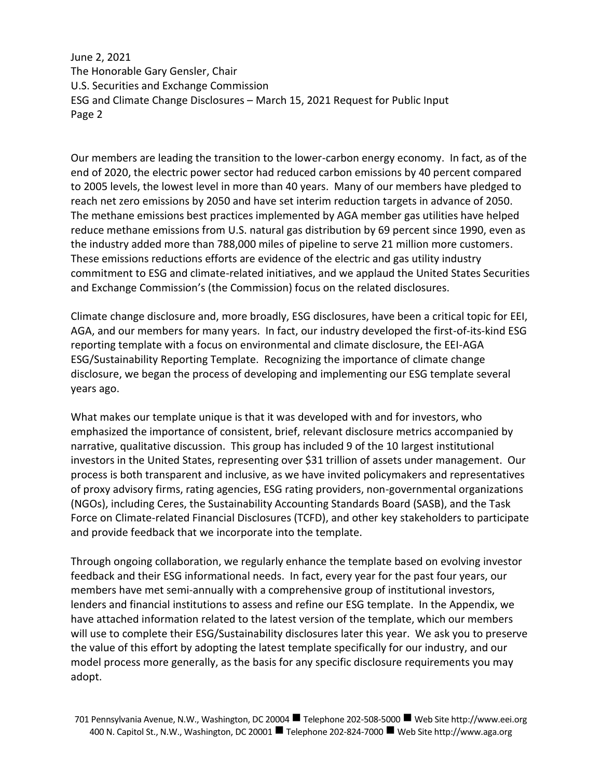Our members are leading the transition to the lower-carbon energy economy. In fact, as of the end of 2020, the electric power sector had reduced carbon emissions by 40 percent compared to 2005 levels, the lowest level in more than 40 years. Many of our members have pledged to reach net zero emissions by 2050 and have set interim reduction targets in advance of 2050. The methane emissions best practices implemented by AGA member gas utilities have helped reduce methane emissions from U.S. natural gas distribution by 69 percent since 1990, even as the industry added more than 788,000 miles of pipeline to serve 21 million more customers. These emissions reductions efforts are evidence of the electric and gas utility industry commitment to ESG and climate-related initiatives, and we applaud the United States Securities and Exchange Commission's (the Commission) focus on the related disclosures.

Climate change disclosure and, more broadly, ESG disclosures, have been a critical topic for EEI, AGA, and our members for many years. In fact, our industry developed the first-of-its-kind ESG reporting template with a focus on environmental and climate disclosure, the EEI-AGA ESG/Sustainability Reporting Template. Recognizing the importance of climate change disclosure, we began the process of developing and implementing our ESG template several years ago.

What makes our template unique is that it was developed with and for investors, who emphasized the importance of consistent, brief, relevant disclosure metrics accompanied by narrative, qualitative discussion. This group has included 9 of the 10 largest institutional investors in the United States, representing over \$31 trillion of assets under management. Our process is both transparent and inclusive, as we have invited policymakers and representatives of proxy advisory firms, rating agencies, ESG rating providers, non-governmental organizations (NGOs), including Ceres, the Sustainability Accounting Standards Board (SASB), and the Task Force on Climate-related Financial Disclosures (TCFD), and other key stakeholders to participate and provide feedback that we incorporate into the template.

Through ongoing collaboration, we regularly enhance the template based on evolving investor feedback and their ESG informational needs. In fact, every year for the past four years, our members have met semi-annually with a comprehensive group of institutional investors, lenders and financial institutions to assess and refine our ESG template. In the Appendix, we have attached information related to the latest version of the template, which our members will use to complete their ESG/Sustainability disclosures later this year. We ask you to preserve the value of this effort by adopting the latest template specifically for our industry, and our model process more generally, as the basis for any specific disclosure requirements you may adopt.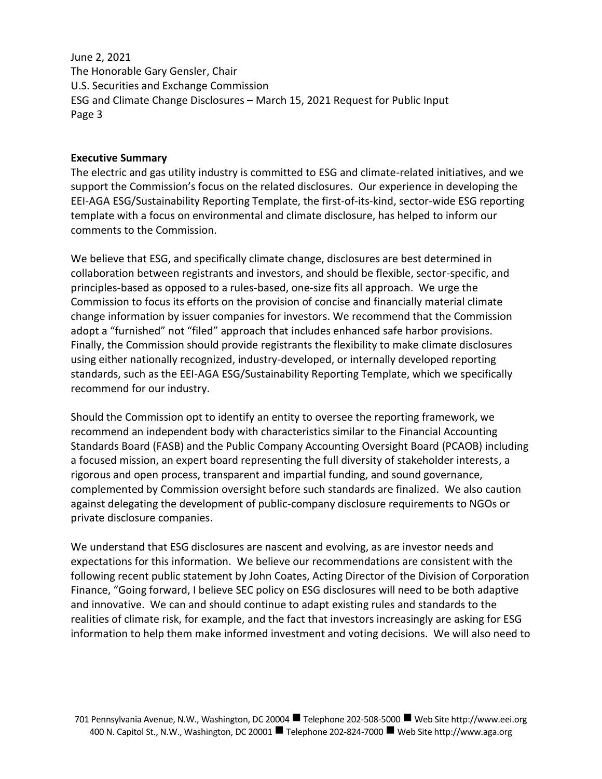## **Executive Summary**

The electric and gas utility industry is committed to ESG and climate-related initiatives, and we support the Commission's focus on the related disclosures. Our experience in developing the EEI-AGA ESG/Sustainability Reporting Template, the first-of-its-kind, sector-wide ESG reporting template with a focus on environmental and climate disclosure, has helped to inform our comments to the Commission.

We believe that ESG, and specifically climate change, disclosures are best determined in collaboration between registrants and investors, and should be flexible, sector-specific, and principles-based as opposed to a rules-based, one-size fits all approach. We urge the Commission to focus its efforts on the provision of concise and financially material climate change information by issuer companies for investors. We recommend that the Commission adopt a "furnished" not "filed" approach that includes enhanced safe harbor provisions. Finally, the Commission should provide registrants the flexibility to make climate disclosures using either nationally recognized, industry-developed, or internally developed reporting standards, such as the EEI-AGA ESG/Sustainability Reporting Template, which we specifically recommend for our industry.

Should the Commission opt to identify an entity to oversee the reporting framework, we recommend an independent body with characteristics similar to the Financial Accounting Standards Board (FASB) and the Public Company Accounting Oversight Board (PCAOB) including a focused mission, an expert board representing the full diversity of stakeholder interests, a rigorous and open process, transparent and impartial funding, and sound governance, complemented by Commission oversight before such standards are finalized. We also caution against delegating the development of public-company disclosure requirements to NGOs or private disclosure companies.

We understand that ESG disclosures are nascent and evolving, as are investor needs and expectations for this information. We believe our recommendations are consistent with the following recent public statement by John Coates, Acting Director of the Division of Corporation Finance, "Going forward, I believe SEC policy on ESG disclosures will need to be both adaptive and innovative. We can and should continue to adapt existing rules and standards to the realities of climate risk, for example, and the fact that investors increasingly are asking for ESG information to help them make informed investment and voting decisions. We will also need to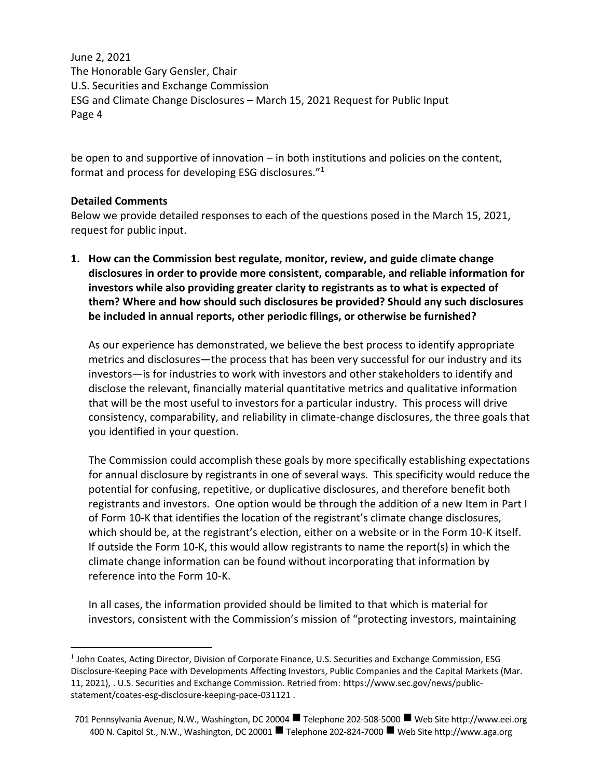be open to and supportive of innovation – in both institutions and policies on the content, format and process for developing ESG disclosures."<sup>1</sup>

## **Detailed Comments**

Below we provide detailed responses to each of the questions posed in the March 15, 2021, request for public input.

**1. How can the Commission best regulate, monitor, review, and guide climate change disclosures in order to provide more consistent, comparable, and reliable information for investors while also providing greater clarity to registrants as to what is expected of them? Where and how should such disclosures be provided? Should any such disclosures be included in annual reports, other periodic filings, or otherwise be furnished?**

As our experience has demonstrated, we believe the best process to identify appropriate metrics and disclosures—the process that has been very successful for our industry and its investors—is for industries to work with investors and other stakeholders to identify and disclose the relevant, financially material quantitative metrics and qualitative information that will be the most useful to investors for a particular industry. This process will drive consistency, comparability, and reliability in climate-change disclosures, the three goals that you identified in your question.

The Commission could accomplish these goals by more specifically establishing expectations for annual disclosure by registrants in one of several ways. This specificity would reduce the potential for confusing, repetitive, or duplicative disclosures, and therefore benefit both registrants and investors. One option would be through the addition of a new Item in Part I of Form 10-K that identifies the location of the registrant's climate change disclosures, which should be, at the registrant's election, either on a website or in the Form 10-K itself. If outside the Form 10-K, this would allow registrants to name the report(s) in which the climate change information can be found without incorporating that information by reference into the Form 10-K.

In all cases, the information provided should be limited to that which is material for investors, consistent with the Commission's mission of "protecting investors, maintaining

<sup>&</sup>lt;sup>1</sup> John Coates, Acting Director, Division of Corporate Finance, U.S. Securities and Exchange Commission, ESG Disclosure-Keeping Pace with Developments Affecting Investors, Public Companies and the Capital Markets (Mar. 11, 2021), . U.S. Securities and Exchange Commission. Retried from: https://www.sec.gov/news/publicstatement/coates-esg-disclosure-keeping-pace-031121 .

<sup>701</sup> Pennsylvania Avenue, N.W., Washington, DC 20004 Telephone 202-508-5000 Web Site http://www.eei.org 400 N. Capitol St., N.W., Washington, DC 20001 ■ Telephone 202-824-7000 ■ Web Site http://www.aga.org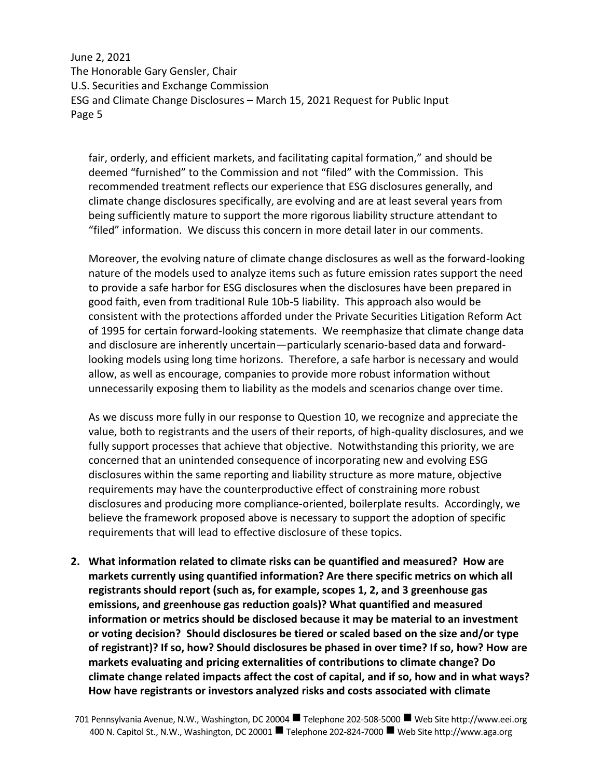fair, orderly, and efficient markets, and facilitating capital formation," and should be deemed "furnished" to the Commission and not "filed" with the Commission. This recommended treatment reflects our experience that ESG disclosures generally, and climate change disclosures specifically, are evolving and are at least several years from being sufficiently mature to support the more rigorous liability structure attendant to "filed" information. We discuss this concern in more detail later in our comments.

Moreover, the evolving nature of climate change disclosures as well as the forward-looking nature of the models used to analyze items such as future emission rates support the need to provide a safe harbor for ESG disclosures when the disclosures have been prepared in good faith, even from traditional Rule 10b-5 liability. This approach also would be consistent with the protections afforded under the Private Securities Litigation Reform Act of 1995 for certain forward-looking statements. We reemphasize that climate change data and disclosure are inherently uncertain—particularly scenario-based data and forwardlooking models using long time horizons. Therefore, a safe harbor is necessary and would allow, as well as encourage, companies to provide more robust information without unnecessarily exposing them to liability as the models and scenarios change over time.

As we discuss more fully in our response to Question 10, we recognize and appreciate the value, both to registrants and the users of their reports, of high-quality disclosures, and we fully support processes that achieve that objective. Notwithstanding this priority, we are concerned that an unintended consequence of incorporating new and evolving ESG disclosures within the same reporting and liability structure as more mature, objective requirements may have the counterproductive effect of constraining more robust disclosures and producing more compliance-oriented, boilerplate results. Accordingly, we believe the framework proposed above is necessary to support the adoption of specific requirements that will lead to effective disclosure of these topics.

**2. What information related to climate risks can be quantified and measured? How are markets currently using quantified information? Are there specific metrics on which all registrants should report (such as, for example, scopes 1, 2, and 3 greenhouse gas emissions, and greenhouse gas reduction goals)? What quantified and measured information or metrics should be disclosed because it may be material to an investment or voting decision? Should disclosures be tiered or scaled based on the size and/or type of registrant)? If so, how? Should disclosures be phased in over time? If so, how? How are markets evaluating and pricing externalities of contributions to climate change? Do climate change related impacts affect the cost of capital, and if so, how and in what ways? How have registrants or investors analyzed risks and costs associated with climate** 

<sup>701</sup> Pennsylvania Avenue, N.W., Washington, DC 20004 Telephone 202-508-5000 Web Site http://www.eei.org 400 N. Capitol St., N.W., Washington, DC 20001 ■ Telephone 202-824-7000 ■ Web Site http://www.aga.org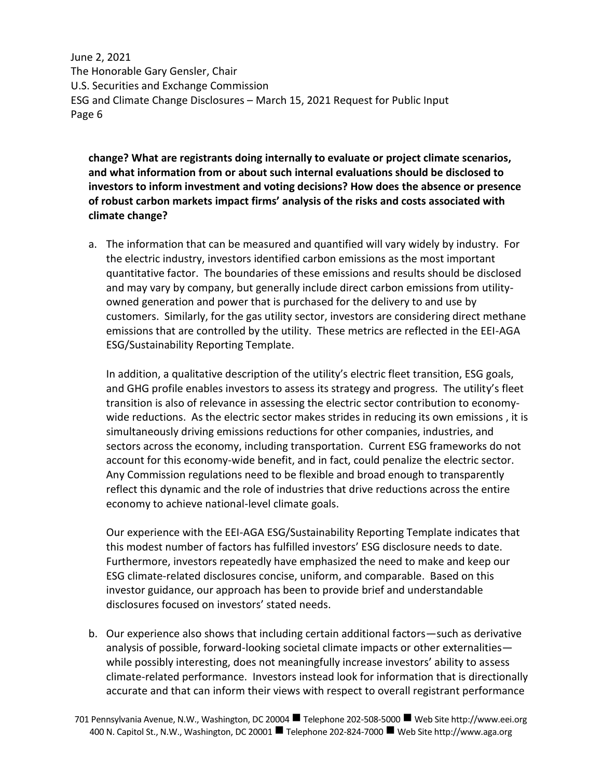**change? What are registrants doing internally to evaluate or project climate scenarios, and what information from or about such internal evaluations should be disclosed to investors to inform investment and voting decisions? How does the absence or presence of robust carbon markets impact firms' analysis of the risks and costs associated with climate change?**

a. The information that can be measured and quantified will vary widely by industry. For the electric industry, investors identified carbon emissions as the most important quantitative factor. The boundaries of these emissions and results should be disclosed and may vary by company, but generally include direct carbon emissions from utilityowned generation and power that is purchased for the delivery to and use by customers. Similarly, for the gas utility sector, investors are considering direct methane emissions that are controlled by the utility. These metrics are reflected in the EEI-AGA ESG/Sustainability Reporting Template.

In addition, a qualitative description of the utility's electric fleet transition, ESG goals, and GHG profile enables investors to assess its strategy and progress. The utility's fleet transition is also of relevance in assessing the electric sector contribution to economywide reductions. As the electric sector makes strides in reducing its own emissions , it is simultaneously driving emissions reductions for other companies, industries, and sectors across the economy, including transportation. Current ESG frameworks do not account for this economy-wide benefit, and in fact, could penalize the electric sector. Any Commission regulations need to be flexible and broad enough to transparently reflect this dynamic and the role of industries that drive reductions across the entire economy to achieve national-level climate goals.

Our experience with the EEI-AGA ESG/Sustainability Reporting Template indicates that this modest number of factors has fulfilled investors' ESG disclosure needs to date. Furthermore, investors repeatedly have emphasized the need to make and keep our ESG climate-related disclosures concise, uniform, and comparable. Based on this investor guidance, our approach has been to provide brief and understandable disclosures focused on investors' stated needs.

b. Our experience also shows that including certain additional factors—such as derivative analysis of possible, forward-looking societal climate impacts or other externalities while possibly interesting, does not meaningfully increase investors' ability to assess climate-related performance. Investors instead look for information that is directionally accurate and that can inform their views with respect to overall registrant performance

<sup>701</sup> Pennsylvania Avenue, N.W., Washington, DC 20004 Telephone 202-508-5000 Web Site http://www.eei.org 400 N. Capitol St., N.W., Washington, DC 20001 ■ Telephone 202-824-7000 ■ Web Site http://www.aga.org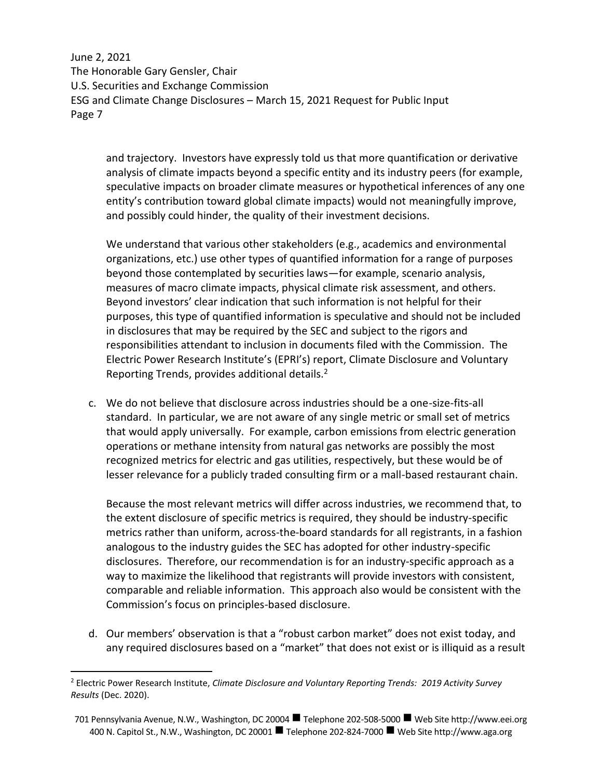and trajectory. Investors have expressly told us that more quantification or derivative analysis of climate impacts beyond a specific entity and its industry peers (for example, speculative impacts on broader climate measures or hypothetical inferences of any one entity's contribution toward global climate impacts) would not meaningfully improve, and possibly could hinder, the quality of their investment decisions.

We understand that various other stakeholders (e.g., academics and environmental organizations, etc.) use other types of quantified information for a range of purposes beyond those contemplated by securities laws—for example, scenario analysis, measures of macro climate impacts, physical climate risk assessment, and others. Beyond investors' clear indication that such information is not helpful for their purposes, this type of quantified information is speculative and should not be included in disclosures that may be required by the SEC and subject to the rigors and responsibilities attendant to inclusion in documents filed with the Commission. The Electric Power Research Institute's (EPRI's) report, Climate Disclosure and Voluntary Reporting Trends, provides additional details.<sup>2</sup>

c. We do not believe that disclosure across industries should be a one-size-fits-all standard. In particular, we are not aware of any single metric or small set of metrics that would apply universally. For example, carbon emissions from electric generation operations or methane intensity from natural gas networks are possibly the most recognized metrics for electric and gas utilities, respectively, but these would be of lesser relevance for a publicly traded consulting firm or a mall-based restaurant chain.

Because the most relevant metrics will differ across industries, we recommend that, to the extent disclosure of specific metrics is required, they should be industry-specific metrics rather than uniform, across-the-board standards for all registrants, in a fashion analogous to the industry guides the SEC has adopted for other industry-specific disclosures. Therefore, our recommendation is for an industry-specific approach as a way to maximize the likelihood that registrants will provide investors with consistent, comparable and reliable information. This approach also would be consistent with the Commission's focus on principles-based disclosure.

d. Our members' observation is that a "robust carbon market" does not exist today, and any required disclosures based on a "market" that does not exist or is illiquid as a result

<sup>2</sup> Electric Power Research Institute, *Climate Disclosure and Voluntary Reporting Trends: 2019 Activity Survey Results* (Dec. 2020).

<sup>701</sup> Pennsylvania Avenue, N.W., Washington, DC 20004 Telephone 202-508-5000 Web Site http://www.eei.org 400 N. Capitol St., N.W., Washington, DC 20001 ■ Telephone 202-824-7000 ■ Web Site http://www.aga.org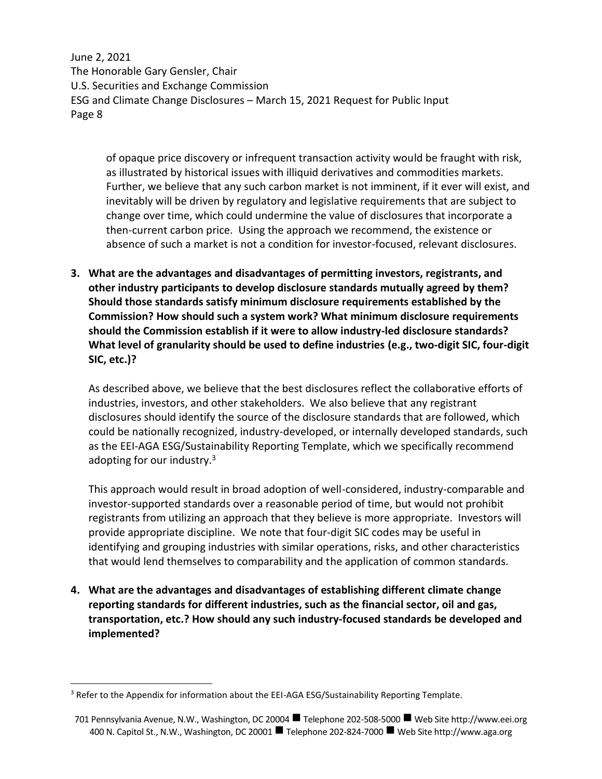of opaque price discovery or infrequent transaction activity would be fraught with risk, as illustrated by historical issues with illiquid derivatives and commodities markets. Further, we believe that any such carbon market is not imminent, if it ever will exist, and inevitably will be driven by regulatory and legislative requirements that are subject to change over time, which could undermine the value of disclosures that incorporate a then-current carbon price. Using the approach we recommend, the existence or absence of such a market is not a condition for investor-focused, relevant disclosures.

**3. What are the advantages and disadvantages of permitting investors, registrants, and other industry participants to develop disclosure standards mutually agreed by them? Should those standards satisfy minimum disclosure requirements established by the Commission? How should such a system work? What minimum disclosure requirements should the Commission establish if it were to allow industry-led disclosure standards? What level of granularity should be used to define industries (e.g., two-digit SIC, four-digit SIC, etc.)?** 

As described above, we believe that the best disclosures reflect the collaborative efforts of industries, investors, and other stakeholders. We also believe that any registrant disclosures should identify the source of the disclosure standards that are followed, which could be nationally recognized, industry-developed, or internally developed standards, such as the EEI-AGA ESG/Sustainability Reporting Template, which we specifically recommend adopting for our industry.<sup>3</sup>

This approach would result in broad adoption of well-considered, industry-comparable and investor-supported standards over a reasonable period of time, but would not prohibit registrants from utilizing an approach that they believe is more appropriate. Investors will provide appropriate discipline. We note that four-digit SIC codes may be useful in identifying and grouping industries with similar operations, risks, and other characteristics that would lend themselves to comparability and the application of common standards.

**4. What are the advantages and disadvantages of establishing different climate change reporting standards for different industries, such as the financial sector, oil and gas, transportation, etc.? How should any such industry-focused standards be developed and implemented?**

<sup>&</sup>lt;sup>3</sup> Refer to the Appendix for information about the EEI-AGA ESG/Sustainability Reporting Template.

<sup>701</sup> Pennsylvania Avenue, N.W., Washington, DC 20004 Telephone 202-508-5000 Web Site http://www.eei.org 400 N. Capitol St., N.W., Washington, DC 20001 ■ Telephone 202-824-7000 ■ Web Site http://www.aga.org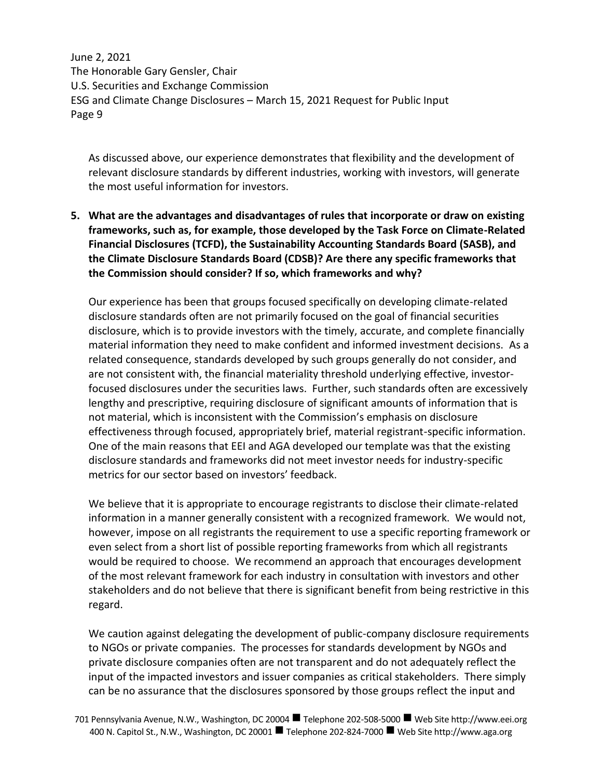As discussed above, our experience demonstrates that flexibility and the development of relevant disclosure standards by different industries, working with investors, will generate the most useful information for investors.

**5. What are the advantages and disadvantages of rules that incorporate or draw on existing frameworks, such as, for example, those developed by the Task Force on Climate-Related Financial Disclosures (TCFD), the Sustainability Accounting Standards Board (SASB), and the Climate Disclosure Standards Board (CDSB)? Are there any specific frameworks that the Commission should consider? If so, which frameworks and why?**

Our experience has been that groups focused specifically on developing climate-related disclosure standards often are not primarily focused on the goal of financial securities disclosure, which is to provide investors with the timely, accurate, and complete financially material information they need to make confident and informed investment decisions. As a related consequence, standards developed by such groups generally do not consider, and are not consistent with, the financial materiality threshold underlying effective, investorfocused disclosures under the securities laws. Further, such standards often are excessively lengthy and prescriptive, requiring disclosure of significant amounts of information that is not material, which is inconsistent with the Commission's emphasis on disclosure effectiveness through focused, appropriately brief, material registrant-specific information. One of the main reasons that EEI and AGA developed our template was that the existing disclosure standards and frameworks did not meet investor needs for industry-specific metrics for our sector based on investors' feedback.

We believe that it is appropriate to encourage registrants to disclose their climate-related information in a manner generally consistent with a recognized framework. We would not, however, impose on all registrants the requirement to use a specific reporting framework or even select from a short list of possible reporting frameworks from which all registrants would be required to choose. We recommend an approach that encourages development of the most relevant framework for each industry in consultation with investors and other stakeholders and do not believe that there is significant benefit from being restrictive in this regard.

We caution against delegating the development of public-company disclosure requirements to NGOs or private companies. The processes for standards development by NGOs and private disclosure companies often are not transparent and do not adequately reflect the input of the impacted investors and issuer companies as critical stakeholders. There simply can be no assurance that the disclosures sponsored by those groups reflect the input and

<sup>701</sup> Pennsylvania Avenue, N.W., Washington, DC 20004 Telephone 202-508-5000 Web Site http://www.eei.org 400 N. Capitol St., N.W., Washington, DC 20001 ■ Telephone 202-824-7000 ■ Web Site http://www.aga.org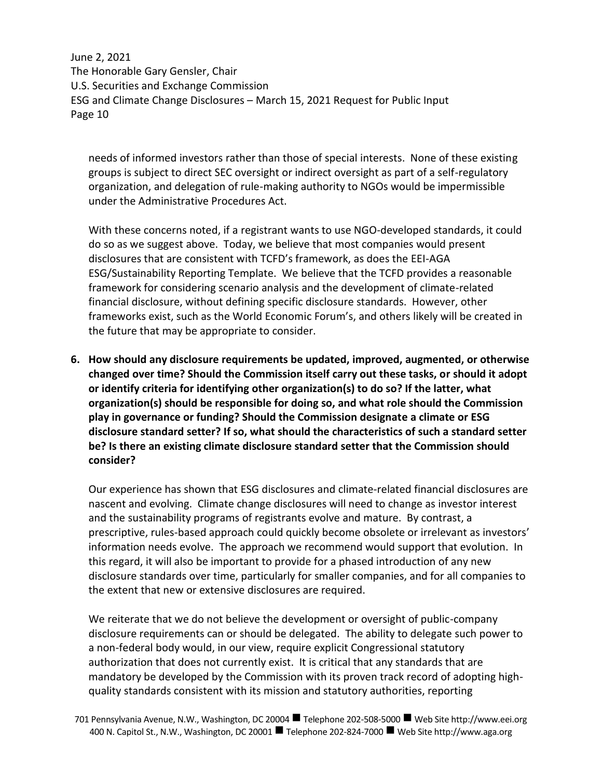needs of informed investors rather than those of special interests. None of these existing groups is subject to direct SEC oversight or indirect oversight as part of a self-regulatory organization, and delegation of rule-making authority to NGOs would be impermissible under the Administrative Procedures Act.

With these concerns noted, if a registrant wants to use NGO-developed standards, it could do so as we suggest above. Today, we believe that most companies would present disclosures that are consistent with TCFD's framework, as does the EEI-AGA ESG/Sustainability Reporting Template. We believe that the TCFD provides a reasonable framework for considering scenario analysis and the development of climate-related financial disclosure, without defining specific disclosure standards. However, other frameworks exist, such as the World Economic Forum's, and others likely will be created in the future that may be appropriate to consider.

**6. How should any disclosure requirements be updated, improved, augmented, or otherwise changed over time? Should the Commission itself carry out these tasks, or should it adopt or identify criteria for identifying other organization(s) to do so? If the latter, what organization(s) should be responsible for doing so, and what role should the Commission play in governance or funding? Should the Commission designate a climate or ESG disclosure standard setter? If so, what should the characteristics of such a standard setter be? Is there an existing climate disclosure standard setter that the Commission should consider?**

Our experience has shown that ESG disclosures and climate-related financial disclosures are nascent and evolving. Climate change disclosures will need to change as investor interest and the sustainability programs of registrants evolve and mature. By contrast, a prescriptive, rules-based approach could quickly become obsolete or irrelevant as investors' information needs evolve. The approach we recommend would support that evolution. In this regard, it will also be important to provide for a phased introduction of any new disclosure standards over time, particularly for smaller companies, and for all companies to the extent that new or extensive disclosures are required.

We reiterate that we do not believe the development or oversight of public-company disclosure requirements can or should be delegated. The ability to delegate such power to a non-federal body would, in our view, require explicit Congressional statutory authorization that does not currently exist. It is critical that any standards that are mandatory be developed by the Commission with its proven track record of adopting highquality standards consistent with its mission and statutory authorities, reporting

<sup>701</sup> Pennsylvania Avenue, N.W., Washington, DC 20004 Telephone 202-508-5000 Web Site http://www.eei.org 400 N. Capitol St., N.W., Washington, DC 20001 ■ Telephone 202-824-7000 ■ Web Site http://www.aga.org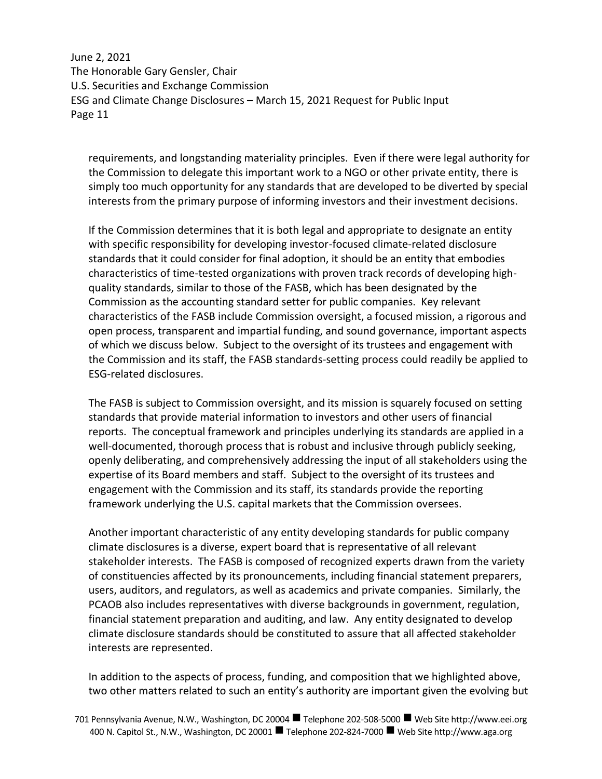requirements, and longstanding materiality principles. Even if there were legal authority for the Commission to delegate this important work to a NGO or other private entity, there is simply too much opportunity for any standards that are developed to be diverted by special interests from the primary purpose of informing investors and their investment decisions.

If the Commission determines that it is both legal and appropriate to designate an entity with specific responsibility for developing investor-focused climate-related disclosure standards that it could consider for final adoption, it should be an entity that embodies characteristics of time-tested organizations with proven track records of developing highquality standards, similar to those of the FASB, which has been designated by the Commission as the accounting standard setter for public companies. Key relevant characteristics of the FASB include Commission oversight, a focused mission, a rigorous and open process, transparent and impartial funding, and sound governance, important aspects of which we discuss below. Subject to the oversight of its trustees and engagement with the Commission and its staff, the FASB standards-setting process could readily be applied to ESG-related disclosures.

The FASB is subject to Commission oversight, and its mission is squarely focused on setting standards that provide material information to investors and other users of financial reports. The conceptual framework and principles underlying its standards are applied in a well-documented, thorough process that is robust and inclusive through publicly seeking, openly deliberating, and comprehensively addressing the input of all stakeholders using the expertise of its Board members and staff. Subject to the oversight of its trustees and engagement with the Commission and its staff, its standards provide the reporting framework underlying the U.S. capital markets that the Commission oversees.

Another important characteristic of any entity developing standards for public company climate disclosures is a diverse, expert board that is representative of all relevant stakeholder interests. The FASB is composed of recognized experts drawn from the variety of constituencies affected by its pronouncements, including financial statement preparers, users, auditors, and regulators, as well as academics and private companies. Similarly, the PCAOB also includes representatives with diverse backgrounds in government, regulation, financial statement preparation and auditing, and law. Any entity designated to develop climate disclosure standards should be constituted to assure that all affected stakeholder interests are represented.

In addition to the aspects of process, funding, and composition that we highlighted above, two other matters related to such an entity's authority are important given the evolving but

701 Pennsylvania Avenue, N.W., Washington, DC 20004 Telephone 202-508-5000 Web Site http://www.eei.org 400 N. Capitol St., N.W., Washington, DC 20001 ■ Telephone 202-824-7000 ■ Web Site http://www.aga.org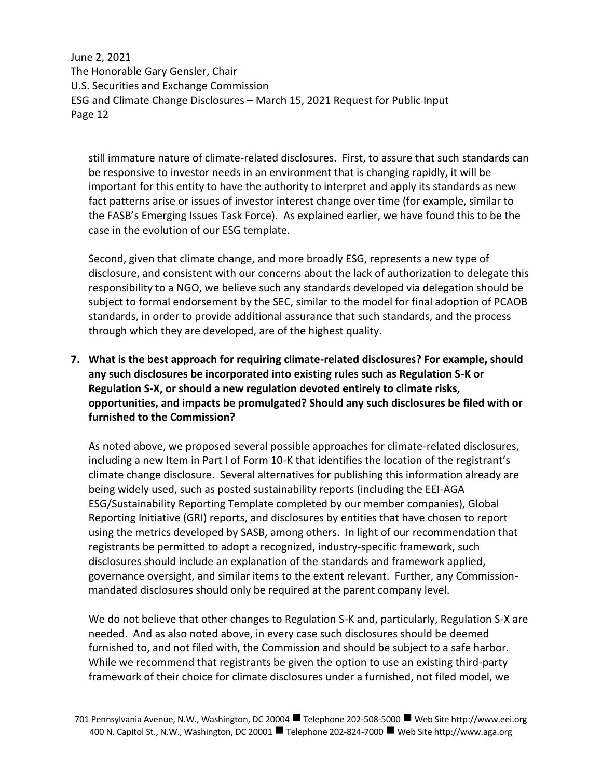still immature nature of climate-related disclosures. First, to assure that such standards can be responsive to investor needs in an environment that is changing rapidly, it will be important for this entity to have the authority to interpret and apply its standards as new fact patterns arise or issues of investor interest change over time (for example, similar to the FASB's Emerging Issues Task Force). As explained earlier, we have found this to be the case in the evolution of our ESG template.

Second, given that climate change, and more broadly ESG, represents a new type of disclosure, and consistent with our concerns about the lack of authorization to delegate this responsibility to a NGO, we believe such any standards developed via delegation should be subject to formal endorsement by the SEC, similar to the model for final adoption of PCAOB standards, in order to provide additional assurance that such standards, and the process through which they are developed, are of the highest quality.

**7. What is the best approach for requiring climate-related disclosures? For example, should any such disclosures be incorporated into existing rules such as Regulation S-K or Regulation S-X, or should a new regulation devoted entirely to climate risks, opportunities, and impacts be promulgated? Should any such disclosures be filed with or furnished to the Commission?**

As noted above, we proposed several possible approaches for climate-related disclosures, including a new Item in Part I of Form 10-K that identifies the location of the registrant's climate change disclosure. Several alternatives for publishing this information already are being widely used, such as posted sustainability reports (including the EEI-AGA ESG/Sustainability Reporting Template completed by our member companies), Global Reporting Initiative (GRI) reports, and disclosures by entities that have chosen to report using the metrics developed by SASB, among others. In light of our recommendation that registrants be permitted to adopt a recognized, industry-specific framework, such disclosures should include an explanation of the standards and framework applied, governance oversight, and similar items to the extent relevant. Further, any Commissionmandated disclosures should only be required at the parent company level.

We do not believe that other changes to Regulation S-K and, particularly, Regulation S-X are needed. And as also noted above, in every case such disclosures should be deemed furnished to, and not filed with, the Commission and should be subject to a safe harbor. While we recommend that registrants be given the option to use an existing third-party framework of their choice for climate disclosures under a furnished, not filed model, we

<sup>701</sup> Pennsylvania Avenue, N.W., Washington, DC 20004 Telephone 202-508-5000 Web Site http://www.eei.org 400 N. Capitol St., N.W., Washington, DC 20001 ■ Telephone 202-824-7000 ■ Web Site http://www.aga.org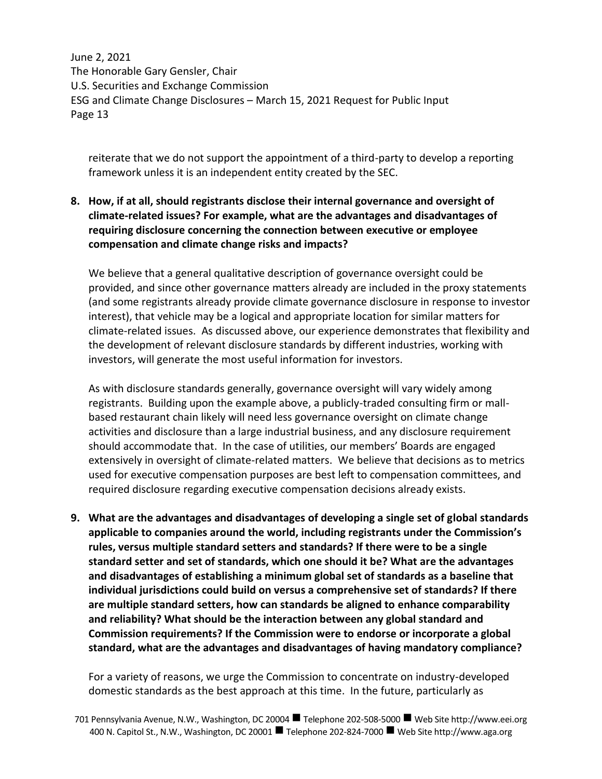reiterate that we do not support the appointment of a third-party to develop a reporting framework unless it is an independent entity created by the SEC.

# **8. How, if at all, should registrants disclose their internal governance and oversight of climate-related issues? For example, what are the advantages and disadvantages of requiring disclosure concerning the connection between executive or employee compensation and climate change risks and impacts?**

We believe that a general qualitative description of governance oversight could be provided, and since other governance matters already are included in the proxy statements (and some registrants already provide climate governance disclosure in response to investor interest), that vehicle may be a logical and appropriate location for similar matters for climate-related issues. As discussed above, our experience demonstrates that flexibility and the development of relevant disclosure standards by different industries, working with investors, will generate the most useful information for investors.

As with disclosure standards generally, governance oversight will vary widely among registrants. Building upon the example above, a publicly-traded consulting firm or mallbased restaurant chain likely will need less governance oversight on climate change activities and disclosure than a large industrial business, and any disclosure requirement should accommodate that. In the case of utilities, our members' Boards are engaged extensively in oversight of climate-related matters. We believe that decisions as to metrics used for executive compensation purposes are best left to compensation committees, and required disclosure regarding executive compensation decisions already exists.

**9. What are the advantages and disadvantages of developing a single set of global standards applicable to companies around the world, including registrants under the Commission's rules, versus multiple standard setters and standards? If there were to be a single standard setter and set of standards, which one should it be? What are the advantages and disadvantages of establishing a minimum global set of standards as a baseline that individual jurisdictions could build on versus a comprehensive set of standards? If there are multiple standard setters, how can standards be aligned to enhance comparability and reliability? What should be the interaction between any global standard and Commission requirements? If the Commission were to endorse or incorporate a global standard, what are the advantages and disadvantages of having mandatory compliance?**

For a variety of reasons, we urge the Commission to concentrate on industry-developed domestic standards as the best approach at this time. In the future, particularly as

<sup>701</sup> Pennsylvania Avenue, N.W., Washington, DC 20004 Telephone 202-508-5000 Web Site http://www.eei.org 400 N. Capitol St., N.W., Washington, DC 20001 ■ Telephone 202-824-7000 ■ Web Site http://www.aga.org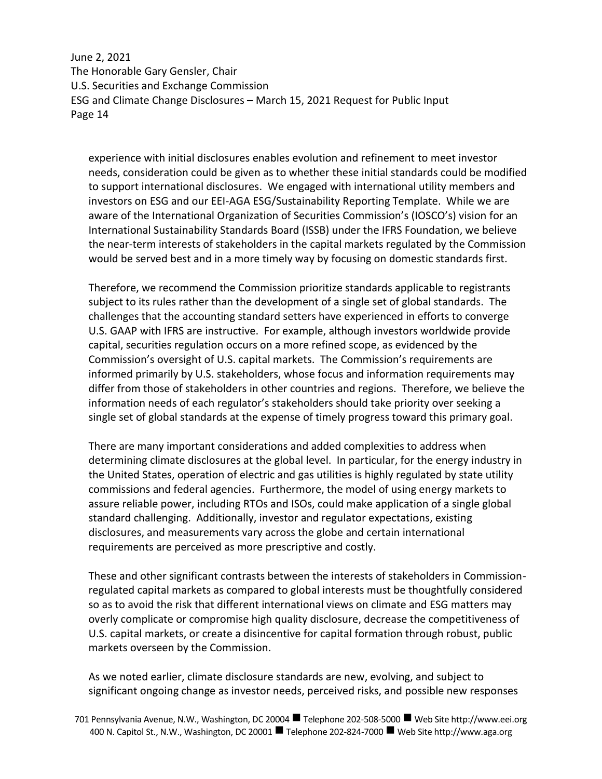experience with initial disclosures enables evolution and refinement to meet investor needs, consideration could be given as to whether these initial standards could be modified to support international disclosures. We engaged with international utility members and investors on ESG and our EEI-AGA ESG/Sustainability Reporting Template. While we are aware of the International Organization of Securities Commission's (IOSCO's) vision for an International Sustainability Standards Board (ISSB) under the IFRS Foundation, we believe the near-term interests of stakeholders in the capital markets regulated by the Commission would be served best and in a more timely way by focusing on domestic standards first.

Therefore, we recommend the Commission prioritize standards applicable to registrants subject to its rules rather than the development of a single set of global standards. The challenges that the accounting standard setters have experienced in efforts to converge U.S. GAAP with IFRS are instructive. For example, although investors worldwide provide capital, securities regulation occurs on a more refined scope, as evidenced by the Commission's oversight of U.S. capital markets. The Commission's requirements are informed primarily by U.S. stakeholders, whose focus and information requirements may differ from those of stakeholders in other countries and regions. Therefore, we believe the information needs of each regulator's stakeholders should take priority over seeking a single set of global standards at the expense of timely progress toward this primary goal.

There are many important considerations and added complexities to address when determining climate disclosures at the global level. In particular, for the energy industry in the United States, operation of electric and gas utilities is highly regulated by state utility commissions and federal agencies. Furthermore, the model of using energy markets to assure reliable power, including RTOs and ISOs, could make application of a single global standard challenging. Additionally, investor and regulator expectations, existing disclosures, and measurements vary across the globe and certain international requirements are perceived as more prescriptive and costly.

These and other significant contrasts between the interests of stakeholders in Commissionregulated capital markets as compared to global interests must be thoughtfully considered so as to avoid the risk that different international views on climate and ESG matters may overly complicate or compromise high quality disclosure, decrease the competitiveness of U.S. capital markets, or create a disincentive for capital formation through robust, public markets overseen by the Commission.

As we noted earlier, climate disclosure standards are new, evolving, and subject to significant ongoing change as investor needs, perceived risks, and possible new responses

<sup>701</sup> Pennsylvania Avenue, N.W., Washington, DC 20004 Telephone 202-508-5000 Web Site http://www.eei.org 400 N. Capitol St., N.W., Washington, DC 20001 ■ Telephone 202-824-7000 ■ Web Site http://www.aga.org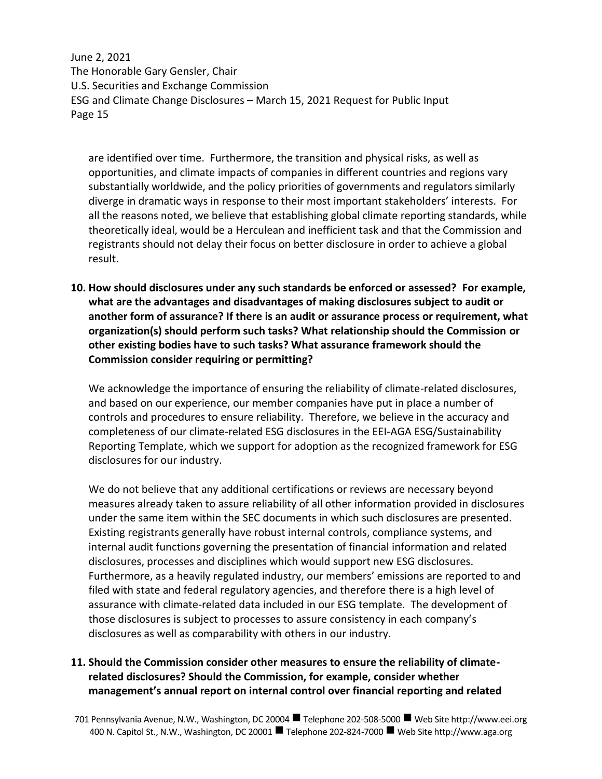are identified over time. Furthermore, the transition and physical risks, as well as opportunities, and climate impacts of companies in different countries and regions vary substantially worldwide, and the policy priorities of governments and regulators similarly diverge in dramatic ways in response to their most important stakeholders' interests. For all the reasons noted, we believe that establishing global climate reporting standards, while theoretically ideal, would be a Herculean and inefficient task and that the Commission and registrants should not delay their focus on better disclosure in order to achieve a global result.

**10. How should disclosures under any such standards be enforced or assessed? For example, what are the advantages and disadvantages of making disclosures subject to audit or another form of assurance? If there is an audit or assurance process or requirement, what organization(s) should perform such tasks? What relationship should the Commission or other existing bodies have to such tasks? What assurance framework should the Commission consider requiring or permitting?**

We acknowledge the importance of ensuring the reliability of climate-related disclosures, and based on our experience, our member companies have put in place a number of controls and procedures to ensure reliability. Therefore, we believe in the accuracy and completeness of our climate-related ESG disclosures in the EEI-AGA ESG/Sustainability Reporting Template, which we support for adoption as the recognized framework for ESG disclosures for our industry.

We do not believe that any additional certifications or reviews are necessary beyond measures already taken to assure reliability of all other information provided in disclosures under the same item within the SEC documents in which such disclosures are presented. Existing registrants generally have robust internal controls, compliance systems, and internal audit functions governing the presentation of financial information and related disclosures, processes and disciplines which would support new ESG disclosures. Furthermore, as a heavily regulated industry, our members' emissions are reported to and filed with state and federal regulatory agencies, and therefore there is a high level of assurance with climate-related data included in our ESG template. The development of those disclosures is subject to processes to assure consistency in each company's disclosures as well as comparability with others in our industry.

## **11. Should the Commission consider other measures to ensure the reliability of climaterelated disclosures? Should the Commission, for example, consider whether management's annual report on internal control over financial reporting and related**

701 Pennsylvania Avenue, N.W., Washington, DC 20004 Telephone 202-508-5000 Web Site http://www.eei.org 400 N. Capitol St., N.W., Washington, DC 20001 ■ Telephone 202-824-7000 ■ Web Site http://www.aga.org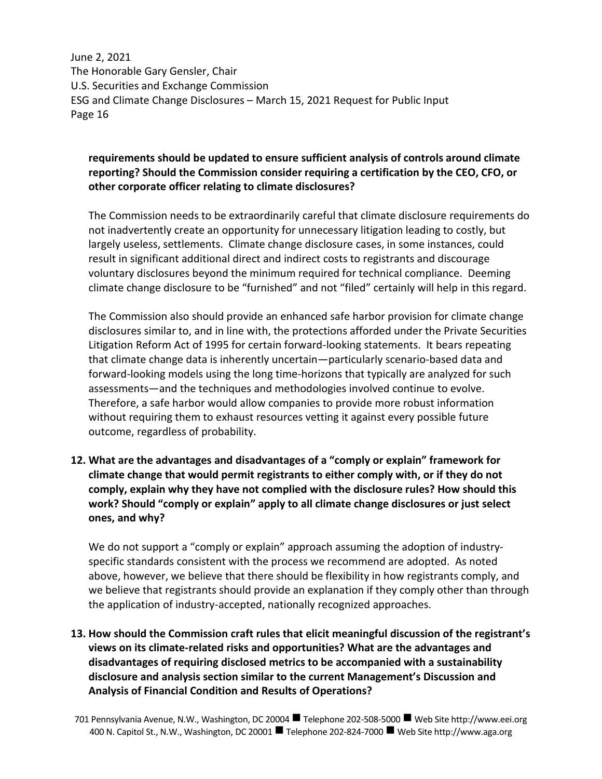# **requirements should be updated to ensure sufficient analysis of controls around climate reporting? Should the Commission consider requiring a certification by the CEO, CFO, or other corporate officer relating to climate disclosures?**

The Commission needs to be extraordinarily careful that climate disclosure requirements do not inadvertently create an opportunity for unnecessary litigation leading to costly, but largely useless, settlements. Climate change disclosure cases, in some instances, could result in significant additional direct and indirect costs to registrants and discourage voluntary disclosures beyond the minimum required for technical compliance. Deeming climate change disclosure to be "furnished" and not "filed" certainly will help in this regard.

The Commission also should provide an enhanced safe harbor provision for climate change disclosures similar to, and in line with, the protections afforded under the Private Securities Litigation Reform Act of 1995 for certain forward-looking statements. It bears repeating that climate change data is inherently uncertain—particularly scenario-based data and forward-looking models using the long time-horizons that typically are analyzed for such assessments—and the techniques and methodologies involved continue to evolve. Therefore, a safe harbor would allow companies to provide more robust information without requiring them to exhaust resources vetting it against every possible future outcome, regardless of probability.

**12. What are the advantages and disadvantages of a "comply or explain" framework for climate change that would permit registrants to either comply with, or if they do not comply, explain why they have not complied with the disclosure rules? How should this work? Should "comply or explain" apply to all climate change disclosures or just select ones, and why?**

We do not support a "comply or explain" approach assuming the adoption of industryspecific standards consistent with the process we recommend are adopted. As noted above, however, we believe that there should be flexibility in how registrants comply, and we believe that registrants should provide an explanation if they comply other than through the application of industry-accepted, nationally recognized approaches.

**13. How should the Commission craft rules that elicit meaningful discussion of the registrant's views on its climate-related risks and opportunities? What are the advantages and disadvantages of requiring disclosed metrics to be accompanied with a sustainability disclosure and analysis section similar to the current Management's Discussion and Analysis of Financial Condition and Results of Operations?**

<sup>701</sup> Pennsylvania Avenue, N.W., Washington, DC 20004 Telephone 202-508-5000 Web Site http://www.eei.org 400 N. Capitol St., N.W., Washington, DC 20001 ■ Telephone 202-824-7000 ■ Web Site http://www.aga.org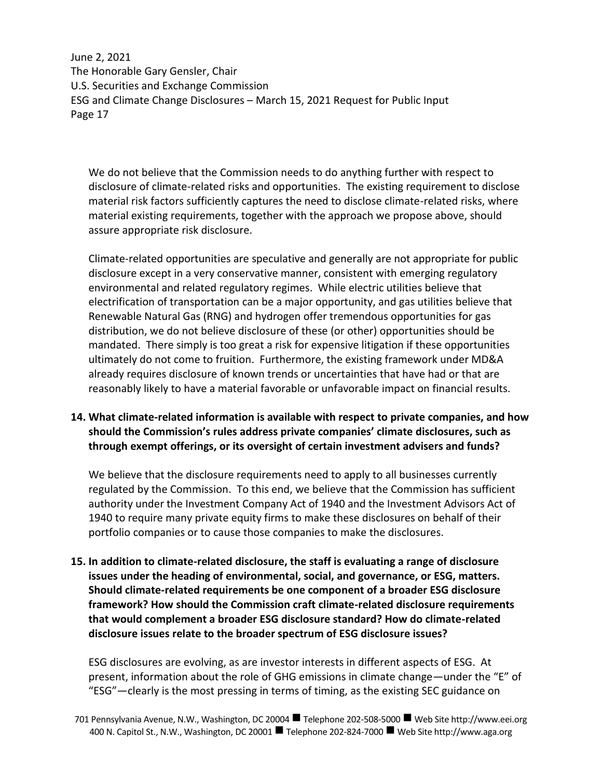We do not believe that the Commission needs to do anything further with respect to disclosure of climate-related risks and opportunities. The existing requirement to disclose material risk factors sufficiently captures the need to disclose climate-related risks, where material existing requirements, together with the approach we propose above, should assure appropriate risk disclosure.

Climate-related opportunities are speculative and generally are not appropriate for public disclosure except in a very conservative manner, consistent with emerging regulatory environmental and related regulatory regimes. While electric utilities believe that electrification of transportation can be a major opportunity, and gas utilities believe that Renewable Natural Gas (RNG) and hydrogen offer tremendous opportunities for gas distribution, we do not believe disclosure of these (or other) opportunities should be mandated. There simply is too great a risk for expensive litigation if these opportunities ultimately do not come to fruition. Furthermore, the existing framework under MD&A already requires disclosure of known trends or uncertainties that have had or that are reasonably likely to have a material favorable or unfavorable impact on financial results.

# **14. What climate-related information is available with respect to private companies, and how should the Commission's rules address private companies' climate disclosures, such as through exempt offerings, or its oversight of certain investment advisers and funds?**

We believe that the disclosure requirements need to apply to all businesses currently regulated by the Commission. To this end, we believe that the Commission has sufficient authority under the Investment Company Act of 1940 and the Investment Advisors Act of 1940 to require many private equity firms to make these disclosures on behalf of their portfolio companies or to cause those companies to make the disclosures.

**15. In addition to climate-related disclosure, the staff is evaluating a range of disclosure issues under the heading of environmental, social, and governance, or ESG, matters. Should climate-related requirements be one component of a broader ESG disclosure framework? How should the Commission craft climate-related disclosure requirements that would complement a broader ESG disclosure standard? How do climate-related disclosure issues relate to the broader spectrum of ESG disclosure issues?**

ESG disclosures are evolving, as are investor interests in different aspects of ESG. At present, information about the role of GHG emissions in climate change—under the "E" of "ESG"—clearly is the most pressing in terms of timing, as the existing SEC guidance on

<sup>701</sup> Pennsylvania Avenue, N.W., Washington, DC 20004 Telephone 202-508-5000 Web Site http://www.eei.org 400 N. Capitol St., N.W., Washington, DC 20001 ■ Telephone 202-824-7000 ■ Web Site http://www.aga.org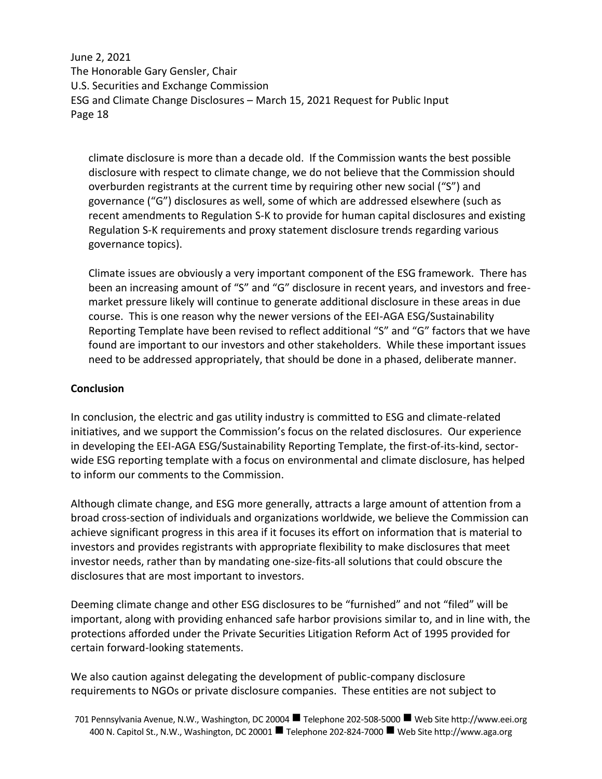climate disclosure is more than a decade old. If the Commission wants the best possible disclosure with respect to climate change, we do not believe that the Commission should overburden registrants at the current time by requiring other new social ("S") and governance ("G") disclosures as well, some of which are addressed elsewhere (such as recent amendments to Regulation S-K to provide for human capital disclosures and existing Regulation S-K requirements and proxy statement disclosure trends regarding various governance topics).

Climate issues are obviously a very important component of the ESG framework. There has been an increasing amount of "S" and "G" disclosure in recent years, and investors and freemarket pressure likely will continue to generate additional disclosure in these areas in due course. This is one reason why the newer versions of the EEI-AGA ESG/Sustainability Reporting Template have been revised to reflect additional "S" and "G" factors that we have found are important to our investors and other stakeholders. While these important issues need to be addressed appropriately, that should be done in a phased, deliberate manner.

## **Conclusion**

In conclusion, the electric and gas utility industry is committed to ESG and climate-related initiatives, and we support the Commission's focus on the related disclosures. Our experience in developing the EEI-AGA ESG/Sustainability Reporting Template, the first-of-its-kind, sectorwide ESG reporting template with a focus on environmental and climate disclosure, has helped to inform our comments to the Commission.

Although climate change, and ESG more generally, attracts a large amount of attention from a broad cross-section of individuals and organizations worldwide, we believe the Commission can achieve significant progress in this area if it focuses its effort on information that is material to investors and provides registrants with appropriate flexibility to make disclosures that meet investor needs, rather than by mandating one-size-fits-all solutions that could obscure the disclosures that are most important to investors.

Deeming climate change and other ESG disclosures to be "furnished" and not "filed" will be important, along with providing enhanced safe harbor provisions similar to, and in line with, the protections afforded under the Private Securities Litigation Reform Act of 1995 provided for certain forward-looking statements.

We also caution against delegating the development of public-company disclosure requirements to NGOs or private disclosure companies. These entities are not subject to

<sup>701</sup> Pennsylvania Avenue, N.W., Washington, DC 20004 Telephone 202-508-5000 Web Site http://www.eei.org 400 N. Capitol St., N.W., Washington, DC 20001 ■ Telephone 202-824-7000 ■ Web Site http://www.aga.org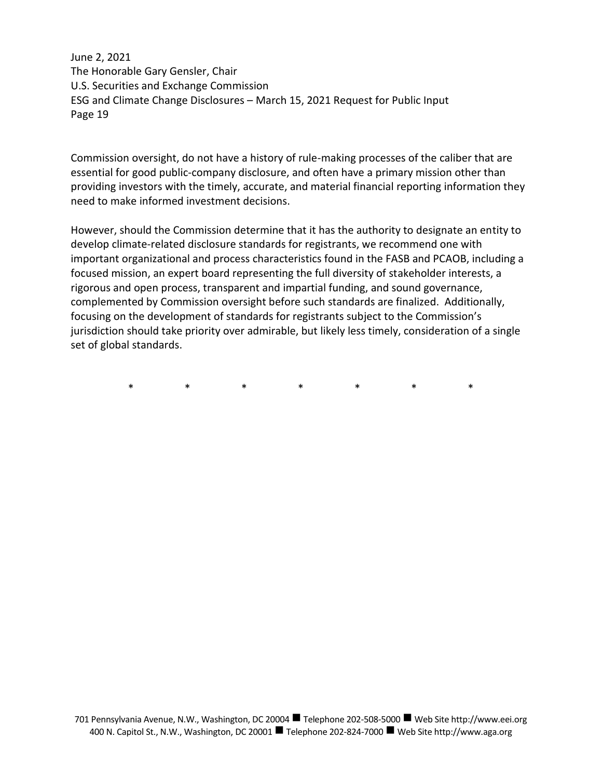Commission oversight, do not have a history of rule-making processes of the caliber that are essential for good public-company disclosure, and often have a primary mission other than providing investors with the timely, accurate, and material financial reporting information they need to make informed investment decisions.

However, should the Commission determine that it has the authority to designate an entity to develop climate-related disclosure standards for registrants, we recommend one with important organizational and process characteristics found in the FASB and PCAOB, including a focused mission, an expert board representing the full diversity of stakeholder interests, a rigorous and open process, transparent and impartial funding, and sound governance, complemented by Commission oversight before such standards are finalized. Additionally, focusing on the development of standards for registrants subject to the Commission's jurisdiction should take priority over admirable, but likely less timely, consideration of a single set of global standards.

\* \* \* \* \* \* \*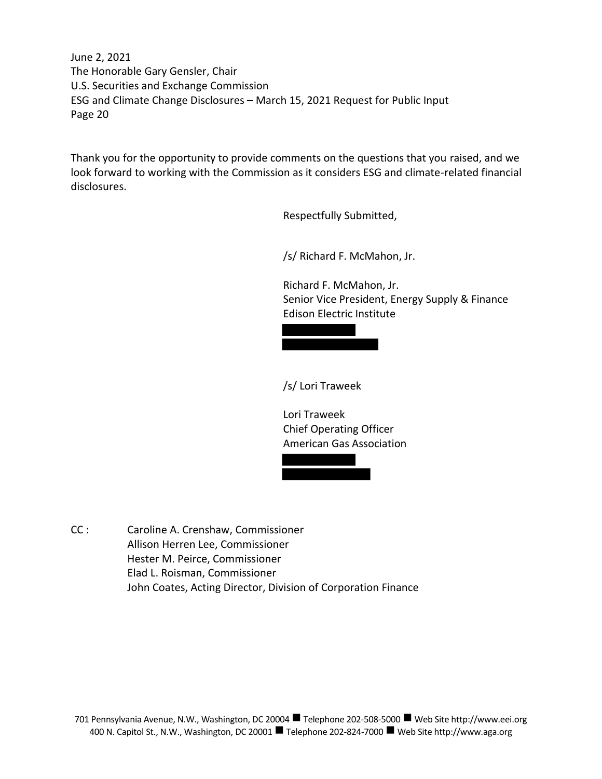Thank you for the opportunity to provide comments on the questions that you raised, and we look forward to working with the Commission as it considers ESG and climate-related financial disclosures.

Respectfully Submitted,

/s/ Richard F. McMahon, Jr.

Richard F. McMahon, Jr. Senior Vice President, Energy Supply & Finance Edison Electric Institute



/s/ Lori Traweek

Lori Traweek Chief Operating Officer American Gas Association



CC : Caroline A. Crenshaw, Commissioner Allison Herren Lee, Commissioner Hester M. Peirce, Commissioner Elad L. Roisman, Commissioner John Coates, Acting Director, Division of Corporation Finance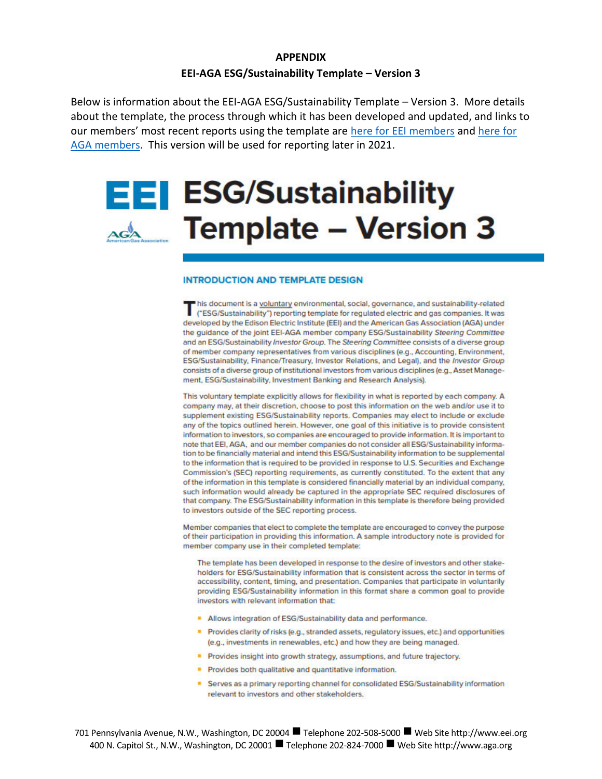# **APPENDIX EEI-AGA ESG/Sustainability Template – Version 3**

Below is information about the EEI-AGA ESG/Sustainability Template – Version 3. More details about the template, the process through which it has been developed and updated, and links to our members' most recent reports using the template are here for EEI members and here for AGA members. This version will be used for reporting later in 2021.

# **EEI ESG/Sustainability** Added Template - Version 3

#### **INTRODUCTION AND TEMPLATE DESIGN**

his document is a voluntary environmental, social, governance, and sustainability-related This document is a voluntary environmental, social, governance, and sustainability-related<br>("ESG/Sustainability") reporting template for regulated electric and gas companies. It was developed by the Edison Electric Institute (EEI) and the American Gas Association (AGA) under the quidance of the joint EEI-AGA member company ESG/Sustainability Steering Committee and an ESG/Sustainability Investor Group. The Steering Committee consists of a diverse group of member company representatives from various disciplines (e.g., Accounting, Environment, ESG/Sustainability, Finance/Treasury, Investor Relations, and Legal), and the Investor Group consists of a diverse group of institutional investors from various disciplines (e.g., Asset Management, ESG/Sustainability, Investment Banking and Research Analysis).

This voluntary template explicitly allows for flexibility in what is reported by each company. A company may, at their discretion, choose to post this information on the web and/or use it to supplement existing ESG/Sustainability reports. Companies may elect to include or exclude any of the topics outlined herein. However, one goal of this initiative is to provide consistent information to investors, so companies are encouraged to provide information. It is important to note that EEI, AGA, and our member companies do not consider all ESG/Sustainability information to be financially material and intend this ESG/Sustainability information to be supplemental to the information that is required to be provided in response to U.S. Securities and Exchange Commission's (SEC) reporting requirements, as currently constituted. To the extent that any of the information in this template is considered financially material by an individual company, such information would already be captured in the appropriate SEC required disclosures of that company. The ESG/Sustainability information in this template is therefore being provided to investors outside of the SEC reporting process.

Member companies that elect to complete the template are encouraged to convey the purpose of their participation in providing this information. A sample introductory note is provided for member company use in their completed template:

The template has been developed in response to the desire of investors and other stakeholders for ESG/Sustainability information that is consistent across the sector in terms of accessibility, content, timing, and presentation. Companies that participate in voluntarily providing ESG/Sustainability information in this format share a common goal to provide investors with relevant information that:

- Allows integration of ESG/Sustainability data and performance.
- Provides clarity of risks (e.g., stranded assets, regulatory issues, etc.) and opportunities (e.g., investments in renewables, etc.) and how they are being managed.
- Provides insight into growth strategy, assumptions, and future trajectory.
- Provides both qualitative and quantitative information.
- Serves as a primary reporting channel for consolidated ESG/Sustainability information relevant to investors and other stakeholders.